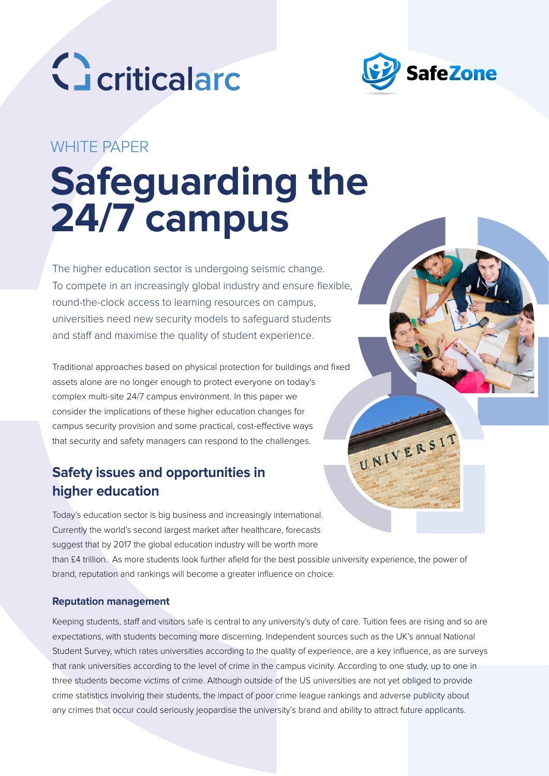



UNIVERSIT

## WHITE PAPER

# **Safeguarding the 24/7 campus**

The higher education sector is undergoing seismic change. To compete in an increasingly global industry and ensure flexible, round-the-clock access to learning resources on campus, universities need new security models to safeguard students and staff and maximise the quality of student experience.

Traditional approaches based on physical protection for buildings and fixed assets alone are no longer enough to protect everyone on today's complex multi-site 24/7 campus environment. In this paper we consider the implications of these higher education changes for campus security provision and some practical, cost-effective ways that security and safety managers can respond to the challenges.

## **Safety issues and opportunities in higher education**

Today's education sector is big business and increasingly international. Currently the world's second largest market after healthcare, forecasts suggest that by 2017 the global education industry will be worth more than £4 trillion. As more students look further afield for the best possible university experience, the power of brand, reputation and rankings will become a greater influence on choice.

#### **Reputation management**

Keeping students, staff and visitors safe is central to any university's duty of care. Tuition fees are rising and so are expectations, with students becoming more discerning. Independent sources such as the UK's annual National Student Survey, which rates universities according to the quality of experience, are a key influence, as are surveys that rank universities according to the level of crime in the campus vicinity. According to one study, up to one in three students become victims of crime. Although outside of the US universities are not yet obliged to provide crime statistics involving their students, the impact of poor crime league rankings and adverse publicity about any crimes that occur could seriously jeopardise the university's brand and ability to attract future applicants.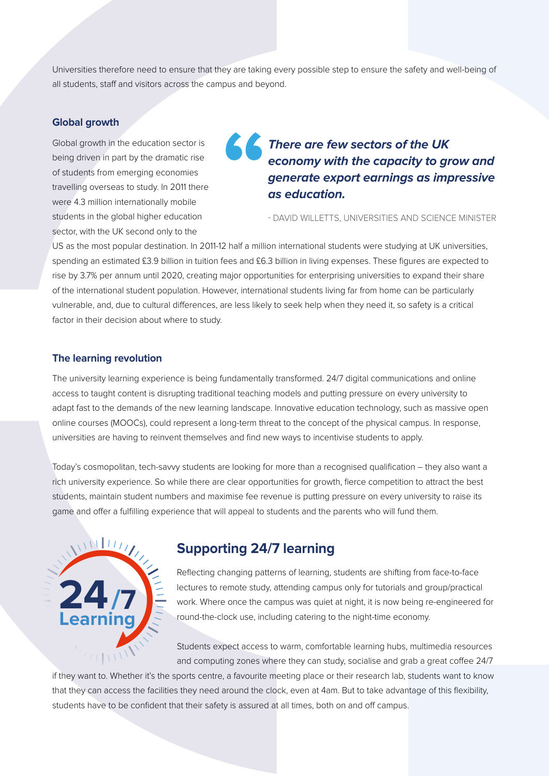Universities therefore need to ensure that they are taking every possible step to ensure the safety and well-being of all students, staff and visitors across the campus and beyond.

#### **Global growth**

Global growth in the education sector is being driven in part by the dramatic rise of students from emerging economies travelling overseas to study. In 2011 there were 4.3 million internationally mobile students in the global higher education sector, with the UK second only to the

## **There are few sectors of the UK economy with the capacity to grow and generate export earnings as impressive as education.**

#### - DAVID WILLETTS, UNIVERSITIES AND SCIENCE MINISTER

US as the most popular destination. In 2011-12 half a million international students were studying at UK universities, spending an estimated £3.9 billion in tuition fees and £6.3 billion in living expenses. These figures are expected to rise by 3.7% per annum until 2020, creating major opportunities for enterprising universities to expand their share of the international student population. However, international students living far from home can be particularly vulnerable, and, due to cultural differences, are less likely to seek help when they need it, so safety is a critical factor in their decision about where to study.

#### **The learning revolution**

The university learning experience is being fundamentally transformed. 24/7 digital communications and online access to taught content is disrupting traditional teaching models and putting pressure on every university to adapt fast to the demands of the new learning landscape. Innovative education technology, such as massive open online courses (MOOCs), could represent a long-term threat to the concept of the physical campus. In response, universities are having to reinvent themselves and find new ways to incentivise students to apply.

Today's cosmopolitan, tech-savvy students are looking for more than a recognised qualification – they also want a rich university experience. So while there are clear opportunities for growth, fierce competition to attract the best students, maintain student numbers and maximise fee revenue is putting pressure on every university to raise its game and offer a fulfilling experience that will appeal to students and the parents who will fund them.



## **Supporting 24/7 learning**

Reflecting changing patterns of learning, students are shifting from face-to-face lectures to remote study, attending campus only for tutorials and group/practical work. Where once the campus was quiet at night, it is now being re-engineered for round-the-clock use, including catering to the night-time economy.

Students expect access to warm, comfortable learning hubs, multimedia resources and computing zones where they can study, socialise and grab a great coffee 24/7

if they want to. Whether it's the sports centre, a favourite meeting place or their research lab, students want to know that they can access the facilities they need around the clock, even at 4am. But to take advantage of this flexibility, students have to be confident that their safety is assured at all times, both on and off campus.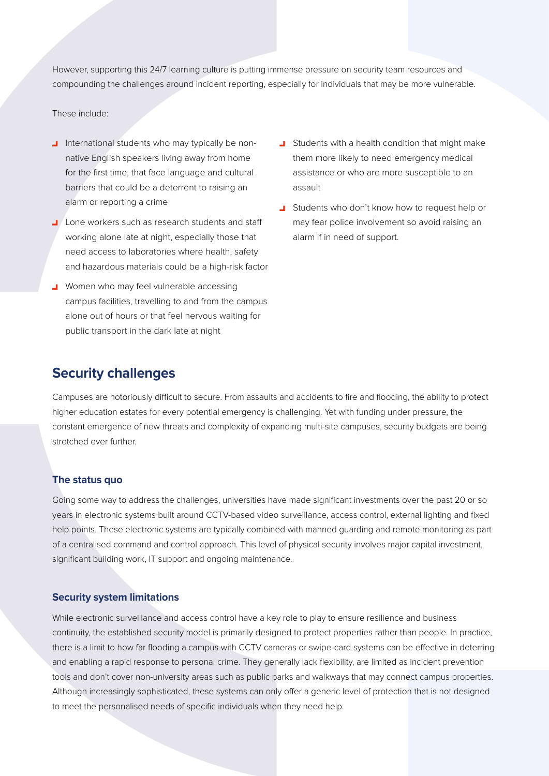However, supporting this 24/7 learning culture is putting immense pressure on security team resources and compounding the challenges around incident reporting, especially for individuals that may be more vulnerable.

These include:

- International students who may typically be nonnative English speakers living away from home for the first time, that face language and cultural barriers that could be a deterrent to raising an alarm or reporting a crime
- Lone workers such as research students and staff working alone late at night, especially those that need access to laboratories where health, safety and hazardous materials could be a high-risk factor
- **J** Women who may feel vulnerable accessing campus facilities, travelling to and from the campus alone out of hours or that feel nervous waiting for public transport in the dark late at night
- **J** Students with a health condition that might make them more likely to need emergency medical assistance or who are more susceptible to an assault
- Students who don't know how to request help or may fear police involvement so avoid raising an alarm if in need of support.

## **Security challenges**

Campuses are notoriously difficult to secure. From assaults and accidents to fire and flooding, the ability to protect higher education estates for every potential emergency is challenging. Yet with funding under pressure, the constant emergence of new threats and complexity of expanding multi-site campuses, security budgets are being stretched ever further.

#### **The status quo**

Going some way to address the challenges, universities have made significant investments over the past 20 or so years in electronic systems built around CCTV-based video surveillance, access control, external lighting and fixed help points. These electronic systems are typically combined with manned guarding and remote monitoring as part of a centralised command and control approach. This level of physical security involves major capital investment, significant building work, IT support and ongoing maintenance.

#### **Security system limitations**

While electronic surveillance and access control have a key role to play to ensure resilience and business continuity, the established security model is primarily designed to protect properties rather than people. In practice, there is a limit to how far flooding a campus with CCTV cameras or swipe-card systems can be effective in deterring and enabling a rapid response to personal crime. They generally lack flexibility, are limited as incident prevention tools and don't cover non-university areas such as public parks and walkways that may connect campus properties. Although increasingly sophisticated, these systems can only offer a generic level of protection that is not designed to meet the personalised needs of specific individuals when they need help.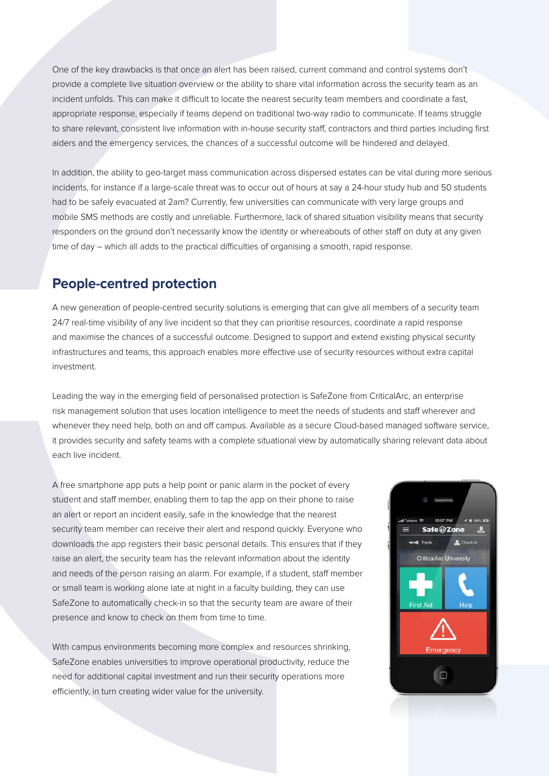One of the key drawbacks is that once an alert has been raised, current command and control systems don't provide a complete live situation overview or the ability to share vital information across the security team as an incident unfolds. This can make it difficult to locate the nearest security team members and coordinate a fast, appropriate response, especially if teams depend on traditional two-way radio to communicate. If teams struggle to share relevant, consistent live information with in-house security staff, contractors and third parties including first aiders and the emergency services, the chances of a successful outcome will be hindered and delayed.

In addition, the ability to geo-target mass communication across dispersed estates can be vital during more serious incidents, for instance if a large-scale threat was to occur out of hours at say a 24-hour study hub and 50 students had to be safely evacuated at 2am? Currently, few universities can communicate with very large groups and mobile SMS methods are costly and unreliable. Furthermore, lack of shared situation visibility means that security responders on the ground don't necessarily know the identity or whereabouts of other staff on duty at any given time of day – which all adds to the practical difficulties of organising a smooth, rapid response.

### **People-centred protection**

A new generation of people-centred security solutions is emerging that can give all members of a security team 24/7 real-time visibility of any live incident so that they can prioritise resources, coordinate a rapid response and maximise the chances of a successful outcome. Designed to support and extend existing physical security infrastructures and teams, this approach enables more effective use of security resources without extra capital investment.

Leading the way in the emerging field of personalised protection is SafeZone from CriticalArc, an enterprise risk management solution that uses location intelligence to meet the needs of students and staff wherever and whenever they need help, both on and off campus. Available as a secure Cloud-based managed software service, it provides security and safety teams with a complete situational view by automatically sharing relevant data about each live incident.

A free smartphone app puts a help point or panic alarm in the pocket of every student and staff member, enabling them to tap the app on their phone to raise an alert or report an incident easily, safe in the knowledge that the nearest security team member can receive their alert and respond quickly. Everyone who downloads the app registers their basic personal details. This ensures that if they raise an alert, the security team has the relevant information about the identity and needs of the person raising an alarm. For example, if a student, staff member or small team is working alone late at night in a faculty building, they can use SafeZone to automatically check-in so that the security team are aware of their presence and know to check on them from time to time.

With campus environments becoming more complex and resources shrinking, SafeZone enables universities to improve operational productivity, reduce the need for additional capital investment and run their security operations more efficiently, in turn creating wider value for the university.

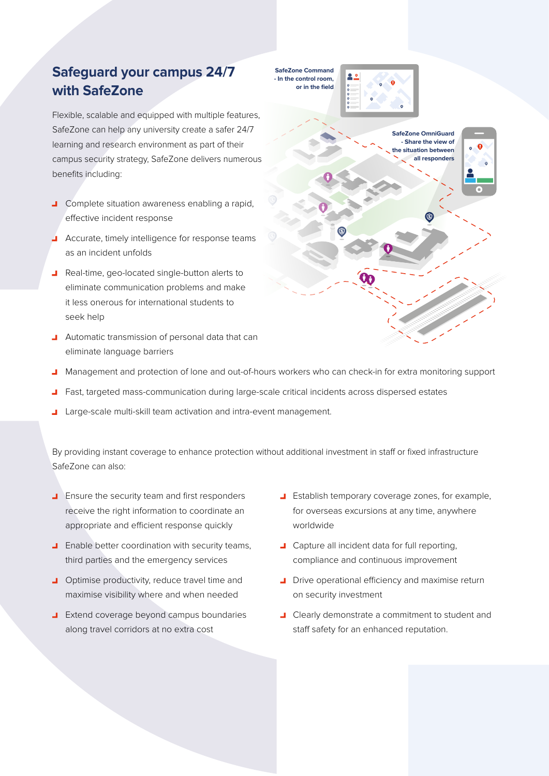## **Safeguard your campus 24/7 with SafeZone**

Flexible, scalable and equipped with multiple features, SafeZone can help any university create a safer 24/7 learning and research environment as part of their campus security strategy, SafeZone delivers numerous

**- In the control room,** 

**SafeZone Command or in the field**





**J** Complete situation awareness enabling a rapid, effective incident response

benefits including:

- **Accurate, timely intelligence for response teams** as an incident unfolds
- Real-time, geo-located single-button alerts to eliminate communication problems and make it less onerous for international students to seek help
- **Automatic transmission of personal data that can** eliminate language barriers
- Management and protection of lone and out-of-hours workers who can check-in for extra monitoring support
- Fast, targeted mass-communication during large-scale critical incidents across dispersed estates
- **L** Large-scale multi-skill team activation and intra-event management.

By providing instant coverage to enhance protection without additional investment in staff or fixed infrastructure SafeZone can also:

- **Ensure the security team and first responders** receive the right information to coordinate an appropriate and efficient response quickly
- **Enable better coordination with security teams,** third parties and the emergency services
- **J** Optimise productivity, reduce travel time and maximise visibility where and when needed
- **Extend coverage beyond campus boundaries** along travel corridors at no extra cost
- **Establish temporary coverage zones, for example,** for overseas excursions at any time, anywhere worldwide
- **J** Capture all incident data for full reporting, compliance and continuous improvement
- **Drive operational efficiency and maximise return** on security investment
- **I** Clearly demonstrate a commitment to student and staff safety for an enhanced reputation.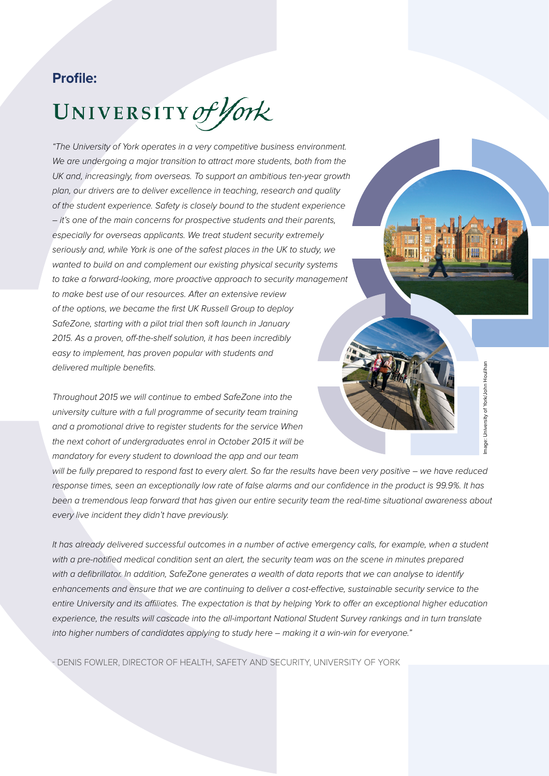## **Profile:**

## UNIVERSITY of York

*"The University of York operates in a very competitive business environment. We are undergoing a major transition to attract more students, both from the UK and, increasingly, from overseas. To support an ambitious ten-year growth plan, our drivers are to deliver excellence in teaching, research and quality of the student experience. Safety is closely bound to the student experience – it's one of the main concerns for prospective students and their parents, especially for overseas applicants. We treat student security extremely seriously and, while York is one of the safest places in the UK to study, we wanted to build on and complement our existing physical security systems to take a forward-looking, more proactive approach to security management to make best use of our resources. After an extensive review of the options, we became the first UK Russell Group to deploy SafeZone, starting with a pilot trial then soft launch in January 2015. As a proven, off-the-shelf solution, it has been incredibly easy to implement, has proven popular with students and delivered multiple benefits.*

*Throughout 2015 we will continue to embed SafeZone into the university culture with a full programme of security team training and a promotional drive to register students for the service When the next cohort of undergraduates enrol in October 2015 it will be mandatory for every student to download the app and our team* 

*will be fully prepared to respond fast to every alert. So far the results have been very positive – we have reduced response times, seen an exceptionally low rate of false alarms and our confidence in the product is 99.9%. It has been a tremendous leap forward that has given our entire security team the real-time situational awareness about every live incident they didn't have previously.* 

Image: University of York/John Houlihan

mage: University of York/John Houlihan

*It has already delivered successful outcomes in a number of active emergency calls, for example, when a student*  with a pre-notified medical condition sent an alert, the security team was on the scene in minutes prepared with a defibrillator. In addition, SafeZone generates a wealth of data reports that we can analyse to identify *enhancements and ensure that we are continuing to deliver a cost-effective, sustainable security service to the entire University and its affiliates. The expectation is that by helping York to offer an exceptional higher education experience, the results will cascade into the all-important National Student Survey rankings and in turn translate into higher numbers of candidates applying to study here – making it a win-win for everyone."* 

- DENIS FOWLER, DIRECTOR OF HEALTH, SAFETY AND SECURITY, UNIVERSITY OF YORK